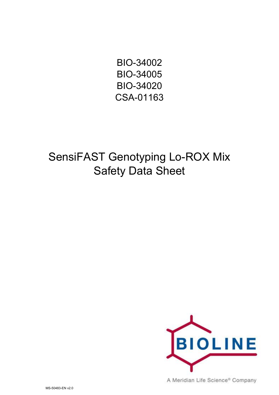BIO-34002 BIO-34005 BIO-34020 CSA-01163

SensiFAST Genotyping Lo-ROX Mix Safety Data Sheet



A Meridian Life Science® Company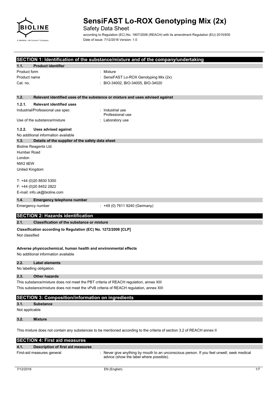

Safety Data Sheet

according to Regulation (EC) No. 1907/2006 (REACH) with its amendment Regulation (EU) 2015/830 Date of issue: 7/12/2016 Version: 1.0

|                |                                                                                                                         | SECTION 1: Identification of the substance/mixture and of the company/undertaking     |  |  |
|----------------|-------------------------------------------------------------------------------------------------------------------------|---------------------------------------------------------------------------------------|--|--|
| 1.1.           | <b>Product identifier</b>                                                                                               |                                                                                       |  |  |
| Product form   |                                                                                                                         | : Mixture                                                                             |  |  |
| Product name   |                                                                                                                         | SensiFAST Lo-ROX Genotyping Mix (2x)                                                  |  |  |
| Cat. no.       |                                                                                                                         | BIO-34002, BIO-34005, BIO-34020                                                       |  |  |
|                |                                                                                                                         |                                                                                       |  |  |
| 1.2.           |                                                                                                                         | Relevant identified uses of the substance or mixture and uses advised against         |  |  |
| 1.2.1.         | <b>Relevant identified uses</b>                                                                                         |                                                                                       |  |  |
|                | Industrial/Professional use spec                                                                                        | : Industrial use<br>Professional use                                                  |  |  |
|                | Use of the substance/mixture                                                                                            | : Laboratory use                                                                      |  |  |
| 1.2.2.         | <b>Uses advised against</b>                                                                                             |                                                                                       |  |  |
|                | No additional information available                                                                                     |                                                                                       |  |  |
| 1.3.           | Details of the supplier of the safety data sheet                                                                        |                                                                                       |  |  |
|                | Bioline Reagents Ltd.                                                                                                   |                                                                                       |  |  |
| Humber Road    |                                                                                                                         |                                                                                       |  |  |
| London         |                                                                                                                         |                                                                                       |  |  |
| NW2 6EW        |                                                                                                                         |                                                                                       |  |  |
| United Kingdom |                                                                                                                         |                                                                                       |  |  |
|                | T: +44 (0)20 8830 5300                                                                                                  |                                                                                       |  |  |
|                | $F: +44(0)2084522822$                                                                                                   |                                                                                       |  |  |
|                | E-mail: info.uk@bioline.com                                                                                             |                                                                                       |  |  |
| 1.4.           | <b>Emergency telephone number</b>                                                                                       |                                                                                       |  |  |
|                | Emergency number                                                                                                        | : +49 (0) 7611 9240 (Germany)                                                         |  |  |
|                |                                                                                                                         |                                                                                       |  |  |
|                | <b>SECTION 2: Hazards identification</b>                                                                                |                                                                                       |  |  |
| 2.1.           | <b>Classification of the substance or mixture</b>                                                                       |                                                                                       |  |  |
|                | Classification according to Regulation (EC) No. 1272/2008 [CLP]                                                         |                                                                                       |  |  |
| Not classified |                                                                                                                         |                                                                                       |  |  |
|                |                                                                                                                         |                                                                                       |  |  |
|                | Adverse physicochemical, human health and environmental effects                                                         |                                                                                       |  |  |
|                | No additional information available                                                                                     |                                                                                       |  |  |
| 2.2.           | Label elements                                                                                                          |                                                                                       |  |  |
|                | No labelling obligation.                                                                                                |                                                                                       |  |  |
| 2.3.           | <b>Other hazards</b>                                                                                                    |                                                                                       |  |  |
|                |                                                                                                                         | This substance/mixture does not meet the PBT criteria of REACH regulation, annex XIII |  |  |
|                | This substance/mixture does not meet the vPvB criteria of REACH regulation, annex XIII                                  |                                                                                       |  |  |
|                | <b>SECTION 3: Composition/information on ingredients</b>                                                                |                                                                                       |  |  |
|                |                                                                                                                         |                                                                                       |  |  |
| 3.1.           | <b>Substance</b>                                                                                                        |                                                                                       |  |  |
| Not applicable |                                                                                                                         |                                                                                       |  |  |
| 3.2.           | <b>Mixture</b>                                                                                                          |                                                                                       |  |  |
|                |                                                                                                                         |                                                                                       |  |  |
|                | This mixture does not contain any substances to be mentioned according to the criteria of section 3.2 of REACH annex II |                                                                                       |  |  |
|                | <b>SECTION 4: First aid measures</b>                                                                                    |                                                                                       |  |  |

| 4.1. | <b>Description of first aid measures</b> |                                                                                                                                    |
|------|------------------------------------------|------------------------------------------------------------------------------------------------------------------------------------|
|      | First-aid measures general               | Never give anything by mouth to an unconscious person. If you feel unwell, seek medical<br>advice (show the label where possible). |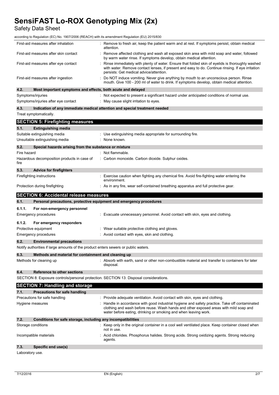Safety Data Sheet

according to Regulation (EC) No. 1907/2006 (REACH) with its amendment Regulation (EU) 2015/830

|             | First-aid measures after inhalation                                                    | Remove to fresh air, keep the patient warm and at rest. If symptoms persist, obtain medical<br>attention.                                                                                                                                                                                                                             |
|-------------|----------------------------------------------------------------------------------------|---------------------------------------------------------------------------------------------------------------------------------------------------------------------------------------------------------------------------------------------------------------------------------------------------------------------------------------|
|             | First-aid measures after skin contact                                                  | Remove affected clothing and wash all exposed skin area with mild soap and water, followed<br>by warm water rinse. If symptoms develop, obtain medical attention.                                                                                                                                                                     |
|             | First-aid measures after eye contact                                                   | Rinse immediately with plenty of water. Ensure that folded skin of eyelids is thoroughly washed<br>with water. Remove contact lenses, if present and easy to do. Continue rinsing. If eye irritation<br>persists: Get medical advice/attention.                                                                                       |
|             | First-aid measures after ingestion                                                     | Do NOT induce vomiting. Never give anything by mouth to an unconscious person. Rinse<br>mouth. Give 100 - 200 ml of water to drink. If symptoms develop, obtain medical attention.                                                                                                                                                    |
| 4.2.        | Most important symptoms and effects, both acute and delayed                            |                                                                                                                                                                                                                                                                                                                                       |
|             | Symptoms/injuries                                                                      | : Not expected to present a significant hazard under anticipated conditions of normal use.                                                                                                                                                                                                                                            |
|             | Symptoms/injuries after eye contact                                                    | : May cause slight irritation to eyes.                                                                                                                                                                                                                                                                                                |
| 4.3.        |                                                                                        | Indication of any immediate medical attention and special treatment needed                                                                                                                                                                                                                                                            |
|             | Treat symptomatically.                                                                 |                                                                                                                                                                                                                                                                                                                                       |
|             | <b>SECTION 5: Firefighting measures</b>                                                |                                                                                                                                                                                                                                                                                                                                       |
| 5.1.        | <b>Extinguishing media</b>                                                             |                                                                                                                                                                                                                                                                                                                                       |
|             | Suitable extinguishing media                                                           | : Use extinguishing media appropriate for surrounding fire.                                                                                                                                                                                                                                                                           |
|             | Unsuitable extinguishing media                                                         | : None known.                                                                                                                                                                                                                                                                                                                         |
| 5.2.        | Special hazards arising from the substance or mixture                                  |                                                                                                                                                                                                                                                                                                                                       |
| Fire hazard |                                                                                        | : Not flammable.                                                                                                                                                                                                                                                                                                                      |
| fire        | Hazardous decomposition products in case of                                            | : Carbon monoxide. Carbon dioxide. Sulphur oxides.                                                                                                                                                                                                                                                                                    |
| 5.3.        | <b>Advice for firefighters</b>                                                         |                                                                                                                                                                                                                                                                                                                                       |
|             | Firefighting instructions                                                              | Exercise caution when fighting any chemical fire. Avoid fire-fighting water entering the<br>environment.                                                                                                                                                                                                                              |
|             | Protection during firefighting                                                         | : As in any fire, wear self-contained breathing apparatus and full protective gear.                                                                                                                                                                                                                                                   |
|             |                                                                                        |                                                                                                                                                                                                                                                                                                                                       |
|             | <b>SECTION 6: Accidental release measures</b>                                          |                                                                                                                                                                                                                                                                                                                                       |
| 6.1.        | Personal precautions, protective equipment and emergency procedures                    |                                                                                                                                                                                                                                                                                                                                       |
| 6.1.1.      |                                                                                        |                                                                                                                                                                                                                                                                                                                                       |
|             | For non-emergency personnel<br><b>Emergency procedures</b>                             | : Evacuate unnecessary personnel. Avoid contact with skin, eyes and clothing.                                                                                                                                                                                                                                                         |
| 6.1.2.      | For emergency responders                                                               |                                                                                                                                                                                                                                                                                                                                       |
|             | Protective equipment                                                                   | : Wear suitable protective clothing and gloves.                                                                                                                                                                                                                                                                                       |
|             | <b>Emergency procedures</b>                                                            | : Avoid contact with eyes, skin and clothing.                                                                                                                                                                                                                                                                                         |
| 6.2.        | <b>Environmental precautions</b>                                                       |                                                                                                                                                                                                                                                                                                                                       |
|             | Notify authorities if large amounts of the product enters sewers or public waters.     |                                                                                                                                                                                                                                                                                                                                       |
| 6.3.        | Methods and material for containment and cleaning up                                   |                                                                                                                                                                                                                                                                                                                                       |
|             | Methods for cleaning up                                                                | : Absorb with earth, sand or other non-combustible material and transfer to containers for later<br>disposal.                                                                                                                                                                                                                         |
| 6.4.        | Reference to other sections                                                            |                                                                                                                                                                                                                                                                                                                                       |
|             | SECTION 8: Exposure controls/personal protection. SECTION 13: Disposal considerations. |                                                                                                                                                                                                                                                                                                                                       |
|             |                                                                                        |                                                                                                                                                                                                                                                                                                                                       |
| 7.1.        | <b>SECTION 7: Handling and storage</b><br><b>Precautions for safe handling</b>         |                                                                                                                                                                                                                                                                                                                                       |
|             | Precautions for safe handling                                                          |                                                                                                                                                                                                                                                                                                                                       |
|             | Hygiene measures                                                                       | Provide adequate ventilation. Avoid contact with skin, eyes and clothing.<br>Handle in accordance with good industrial hygiene and safety practice. Take off contaminated<br>clothing and wash before reuse. Wash hands and other exposed areas with mild soap and<br>water before eating, drinking or smoking and when leaving work. |
| 7.2.        | Conditions for safe storage, including any incompatibilities                           |                                                                                                                                                                                                                                                                                                                                       |
|             | Storage conditions                                                                     | Keep only in the original container in a cool well ventilated place. Keep container closed when<br>not in use.                                                                                                                                                                                                                        |
|             | Incompatible materials                                                                 | Acid chlorides. Phosphorus halides. Strong acids. Strong oxidizing agents. Strong reducing<br>agents.                                                                                                                                                                                                                                 |

Laboratory use.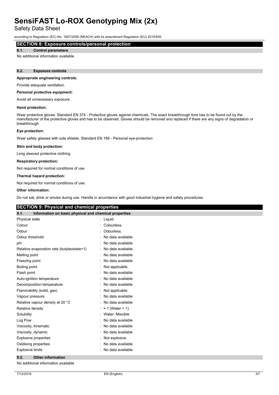Safety Data Sheet

according to Regulation (EC) No. 1907/2006 (REACH) with its amendment Regulation (EU) 2015/830

## **SECTION 8: Exposure controls/personal protection**

#### **8.1. Control parameters**

No additional information available

#### **8.2. Exposure controls**

#### **Appropriate engineering controls:**

Provide adequate ventilation.

#### **Personal protective equipment:**

Avoid all unnecessary exposure.

#### **Hand protection:**

Wear protective gloves. Standard EN 374 - Protective gloves against chemicals. The exact breakthrough time has to be found out by the manufacturer of the protective gloves and has to be observed. Gloves should be removed and replaced if there are any signs of degradation or breakthrough

#### **Eye protection:**

Wear safety glasses with side shields. Standard EN 166 - Personal eye-protection

#### **Skin and body protection:**

Long sleeved protective clothing

#### **Respiratory protection:**

Not required for normal conditions of use

#### **Thermal hazard protection:**

Not required for normal conditions of use.

#### **Other information:**

Do not eat, drink or smoke during use. Handle in accordance with good industrial hygiene and safety procedures.

### **SECTION 9: Physical and chemical properties**

| 9.1.<br>Information on basic physical and chemical properties |                         |
|---------------------------------------------------------------|-------------------------|
| Physical state                                                | Liquid<br>t.            |
| Colour                                                        | Colourless.             |
| Odour                                                         | Odourless.              |
| Odour threshold                                               | No data available       |
| рH                                                            | No data available       |
| Relative evaporation rate (butylacetate=1)                    | No data available       |
| Melting point                                                 | No data available       |
| Freezing point                                                | No data available       |
| Boiling point                                                 | Not applicable.         |
| Flash point                                                   | No data available       |
| Auto-ignition temperature                                     | No data available       |
| Decomposition temperature                                     | No data available       |
| Flammability (solid, gas)                                     | Not applicable          |
| Vapour pressure                                               | No data available       |
| Relative vapour density at 20 °C                              | No data available       |
| Relative density                                              | $\approx$ 1 (Water = 1) |
| Solubility                                                    | Water: Miscible         |
| Log Pow                                                       | No data available       |
| Viscosity, kinematic                                          | No data available       |
| Viscosity, dynamic                                            | No data available       |
| <b>Explosive properties</b>                                   | Not explosive.          |
| Oxidising properties                                          | No data available       |
| <b>Explosive limits</b>                                       | No data available       |

### **9.2. Other information**

No additional information available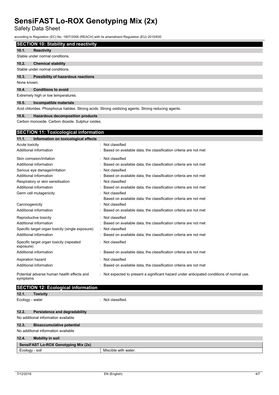Safety Data Sheet

according to Regulation (EC) No. 1907/2006 (REACH) with its amendment Regulation (EU) 2015/830

|  |  | <b>SECTION 10: Stability and reactivity</b> |
|--|--|---------------------------------------------|
|  |  |                                             |
|  |  |                                             |

#### **10.1. Reactivity** Stable under normal conditions.

**10.2. Chemical stability** Stable under normal conditions.

# **10.3. Possibility of hazardous reactions**

None known.

**10.4. Conditions to avoid**

Extremely high or low temperatures.

#### **10.5. Incompatible materials**

Acid chlorides. Phosphorus halides. Strong acids. Strong oxidizing agents. Strong reducing agents.

#### **10.6. Hazardous decomposition products**

Carbon monoxide. Carbon dioxide. Sulphur oxides.

### **SECTION 11: Toxicological information**

| 11.1.<br>Information on toxicological effects          |                                                                                            |
|--------------------------------------------------------|--------------------------------------------------------------------------------------------|
| Acute toxicity                                         | : Not classified                                                                           |
| Additional information                                 | Based on available data, the classification criteria are not met                           |
| Skin corrosion/irritation                              | : Not classified                                                                           |
| Additional information                                 | Based on available data, the classification criteria are not met                           |
| Serious eye damage/irritation                          | : Not classified                                                                           |
| Additional information                                 | Based on available data, the classification criteria are not met                           |
| Respiratory or skin sensitisation                      | : Not classified                                                                           |
| Additional information                                 | Based on available data, the classification criteria are not met                           |
| Germ cell mutagenicity                                 | Not classified                                                                             |
|                                                        | Based on available data, the classification criteria are not met                           |
| Carcinogenicity                                        | Not classified                                                                             |
| Additional information                                 | Based on available data, the classification criteria are not met                           |
| Reproductive toxicity                                  | : Not classified                                                                           |
| Additional information                                 | Based on available data, the classification criteria are not met                           |
| Specific target organ toxicity (single exposure)       | : Not classified                                                                           |
| Additional information                                 | : Based on available data, the classification criteria are not met                         |
| Specific target organ toxicity (repeated<br>exposure)  | : Not classified                                                                           |
| Additional information                                 | Based on available data, the classification criteria are not met                           |
| Aspiration hazard                                      | : Not classified                                                                           |
| Additional information                                 | Based on available data, the classification criteria are not met                           |
| Potential adverse human health effects and<br>symptoms | : Not expected to present a significant hazard under anticipated conditions of normal use. |

# **SECTION 12: Ecological information**

| OXICITV |
|---------|
|         |

Ecology - water  $\qquad \qquad$ : Not classified.

## **12.2. Persistence and degradability** No additional information available **12.3. Bioaccumulative potential** No additional information available **12.4. Mobility in soil SensiFAST Lo-ROX Genotyping Mix (2x)** Ecology - soil **Ecology** - soil and the matter of  $\blacksquare$  Miscible with water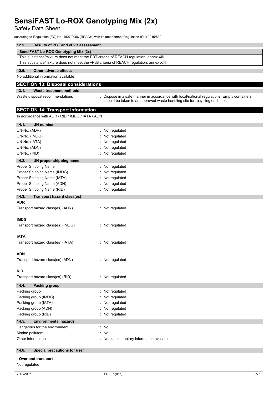Safety Data Sheet

according to Regulation (EC) No. 1907/2006 (REACH) with its amendment Regulation (EU) 2015/830

| 12.5. | <b>Results of PBT and vPvB assessment</b>                                              |
|-------|----------------------------------------------------------------------------------------|
|       | SensiFAST Lo-ROX Genotyping Mix (2x)                                                   |
|       | This substance/mixture does not meet the PBT criteria of REACH regulation, annex XIII  |
|       | This substance/mixture does not meet the vPvB criteria of REACH regulation, annex XIII |
| 12C   | Other adverse effects                                                                  |

#### **12.6. Other adverse effects**

No additional information available

## **SECTION 13: Disposal considerations**

#### **13.1. Waste treatment methods**

Waste disposal recommendations in the state of propose in a safe manner in accordance with local/national regulations. Empty containers should be taken to an approved waste handling site for recycling or disposal.

### **SECTION 14: Transport information**

In accordance with ADR / RID / IMDG / IATA / ADN

| 14.1.<br><b>UN number</b>                  |                                        |
|--------------------------------------------|----------------------------------------|
| UN-No. (ADR)                               | Not regulated                          |
| UN-No. (IMDG)                              | Not regulated                          |
| UN-No. (IATA)                              | Not regulated                          |
| UN-No. (ADN)                               | Not regulated                          |
| UN-No. (RID)                               | Not regulated                          |
| 14.2.<br>UN proper shipping name           |                                        |
| Proper Shipping Name                       | Not regulated                          |
| Proper Shipping Name (IMDG)                | Not regulated                          |
| Proper Shipping Name (IATA)                | Not regulated                          |
| Proper Shipping Name (ADN)                 | Not regulated                          |
| Proper Shipping Name (RID)                 | Not regulated                          |
| 14.3.<br><b>Transport hazard class(es)</b> |                                        |
| <b>ADR</b>                                 |                                        |
| Transport hazard class(es) (ADR)           | : Not regulated                        |
| <b>IMDG</b>                                |                                        |
| Transport hazard class(es) (IMDG)          | : Not regulated                        |
|                                            |                                        |
| IATA                                       |                                        |
| Transport hazard class(es) (IATA)          | : Not regulated                        |
| <b>ADN</b>                                 |                                        |
| Transport hazard class(es) (ADN)           | : Not regulated                        |
| RID                                        |                                        |
| Transport hazard class(es) (RID)           | : Not regulated                        |
|                                            |                                        |
| 14.4.<br><b>Packing group</b>              |                                        |
| Packing group                              | Not regulated<br>÷                     |
| Packing group (IMDG)                       | Not regulated                          |
| Packing group (IATA)                       | Not regulated                          |
| Packing group (ADN)                        | Not regulated                          |
| Packing group (RID)                        | Not regulated                          |
| 14.5.<br><b>Environmental hazards</b>      |                                        |
| Dangerous for the environment              | : No                                   |
| Marine pollutant                           | No<br>÷                                |
| Other information                          | No supplementary information available |
| 14.6.<br>Special precautions for user      |                                        |
| - Overland transport                       |                                        |
| Not regulated                              |                                        |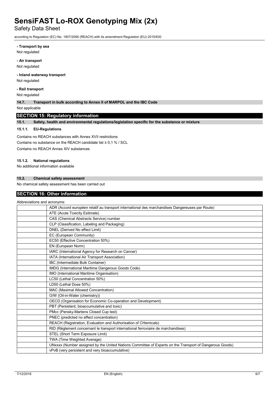Safety Data Sheet

according to Regulation (EC) No. 1907/2006 (REACH) with its amendment Regulation (EU) 2015/830

**- Transport by sea**

Not regulated

**- Air transport**

Not regulated

### **- Inland waterway transport**

Not regulated

**- Rail transport**

Not regulated

**14.7. Transport in bulk according to Annex II of MARPOL and the IBC Code**

Not applicable

## **SECTION 15: Regulatory information**

**15.1. Safety, health and environmental regulations/legislation specific for the substance or mixture**

#### **15.1.1. EU-Regulations**

Contains no REACH substances with Annex XVII restrictions Contains no substance on the RFACH candidate list  $\geq 0.1$  % / SCL Contains no REACH Annex XIV substances

#### **15.1.2. National regulations**

No additional information available

### **15.2. Chemical safety assessment**

No chemical safety assessment has been carried out

### **SECTION 16: Other information**

| Abbreviations and acronyms: |                                                                                                         |
|-----------------------------|---------------------------------------------------------------------------------------------------------|
|                             | ADR (Accord européen relatif au transport international des marchandises Dangereuses par Route)         |
|                             | ATE (Acute Toxicity Estimate)                                                                           |
|                             | CAS (Chemical Abstracts Service) number                                                                 |
|                             | CLP (Classification, Labeling and Packaging)                                                            |
|                             | DNEL (Derived No effect Limit)                                                                          |
|                             | EC (European Community)                                                                                 |
|                             | EC50 (Effective Concentration 50%)                                                                      |
|                             | EN (European Norm)                                                                                      |
|                             | IARC (International Agency for Research on Cancer)                                                      |
|                             | IATA (International Air Transport Association)                                                          |
|                             | IBC (Intermediate Bulk Container)                                                                       |
|                             | IMDG (International Maritime Dangerous Goods Code)                                                      |
|                             | IMO (International Maritime Organisation)                                                               |
|                             | LC50 (Lethal Concentration 50%)                                                                         |
|                             | LD50 (Lethal Dose 50%)                                                                                  |
|                             | MAC (Maximal Allowed Concentration)                                                                     |
|                             | O/W (Oil-in-Water (chemistry))                                                                          |
|                             | OECD (Organisation for Economic Co-operation and Development)                                           |
|                             | PBT (Persistent, bioaccumulative and toxic)                                                             |
|                             | PMcc (Pensky-Martens Closed Cup test)                                                                   |
|                             | PNEC (predicted no effect concentration)                                                                |
|                             | REACH (Registration, Evaluation and Authorisation of CHemicals)                                         |
|                             | RID (Règlement concernant le transport international ferroviaire de marchandises)                       |
|                             | STEL (Short Term Exposure Limit)                                                                        |
|                             | TWA (Time Weighted Average)                                                                             |
|                             | UNxxxx (Number assigned by the United Nations Committee of Experts on the Transport of Dangerous Goods) |
|                             | vPvB (very persistent and very bioaccumulative)                                                         |